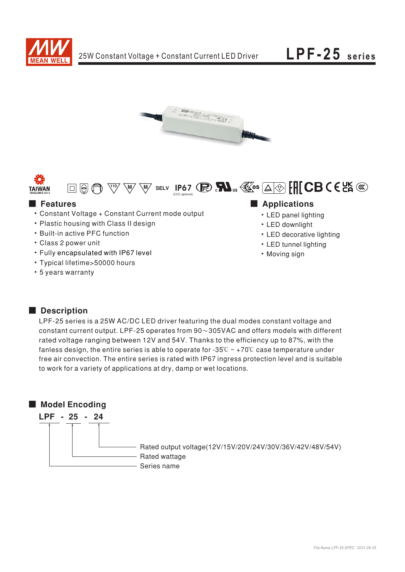





## $\boxed{\Box\boxplus\textcircled{H}}$ **E** Features

- Constant Voltage + Constant Current mode output
- Plastic housing with Class II design
- Built-in active PFC function
- Class 2 power unit
- Fully encapsulated with IP67 level
- Typical lifetime>50000 hours
- 5 years warranty

### Applications

W SELV IP67 C **R**  $\mathbf{M}$ <sub>us</sub>  $\mathbf{K}$ <sup>05</sup>  $\boxed{\Delta}$  [H CB C E LA  $\mathbf{\mathbb{C}}$ 

- LED panel lighting
- LED downlight
- LED decorative lighting
- LED tunnel lighting
- Moving sign

#### Description

LPF-25 series is a 25W AC/DC LED driver featuring the dual modes constant voltage and constant current output. LPF-25 operates from  $90\sim305$ VAC and offers models with different rated voltage ranging between 12V and 54V. Thanks to the efficiency up to 87%, with the fanless design, the entire series is able to operate for -35 $\degree$ C ~ +70 $\degree$ C case temperature under free air convection. The entire series is rated with IP67 ingress protection level and is suitable to work for a variety of applications at dry, damp or wet locations.

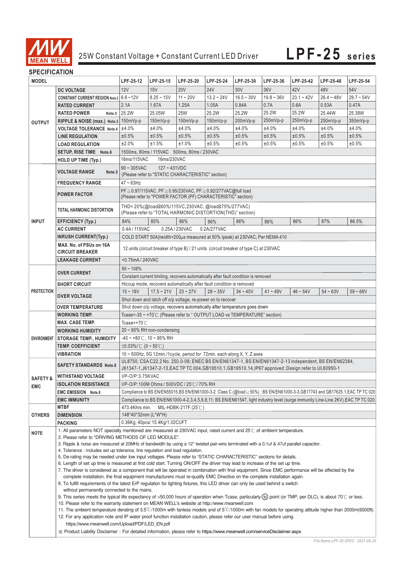

#### **SPECIFICATION**

| יוטוורשה ווטב וט    |                                                                                                                                                                             |                                                                                                                                                                                                                                                               |              |                |              |              |              |              |              |              |  |
|---------------------|-----------------------------------------------------------------------------------------------------------------------------------------------------------------------------|---------------------------------------------------------------------------------------------------------------------------------------------------------------------------------------------------------------------------------------------------------------|--------------|----------------|--------------|--------------|--------------|--------------|--------------|--------------|--|
| <b>MODEL</b>        |                                                                                                                                                                             | LPF-25-12                                                                                                                                                                                                                                                     | LPF-25-15    | LPF-25-20      | LPF-25-24    | LPF-25-30    | LPF-25-36    | LPF-25-42    | LPF-25-48    | LPF-25-54    |  |
|                     | <b>DC VOLTAGE</b>                                                                                                                                                           | 12V                                                                                                                                                                                                                                                           | 15V          | <b>20V</b>     | <b>24V</b>   | 30V          | 36V          | 42V          | 48V          | 54V          |  |
| <b>OUTPUT</b>       | CONSTANT CURRENT REGION Note.2 6.6~12V                                                                                                                                      |                                                                                                                                                                                                                                                               | $8.25 - 15V$ | $11 - 20V$     | $13.2 - 24V$ | $16.5 - 30V$ | $19.8 - 36V$ | $23.1 - 42V$ | $26.4 - 48V$ | $29.7 - 54V$ |  |
|                     | <b>RATED CURRENT</b>                                                                                                                                                        | 2.1A                                                                                                                                                                                                                                                          | 1.67A        | 1.25A          | 1.05A        | 0.84A        | 0.7A         | 0.6A         | 0.53A        | 0.47A        |  |
|                     | <b>RATED POWER</b><br>Note.5                                                                                                                                                | 25.2W                                                                                                                                                                                                                                                         | 25.05W       | <b>25W</b>     | 25.2W        | 25.2W        | 25.2W        | 25.2W        | 25.44W       | 25.38W       |  |
|                     | RIPPLE & NOISE (max.) Note.3 150mVp-p                                                                                                                                       |                                                                                                                                                                                                                                                               | $150mVp-p$   | $150mVp-p$     | 150mVp-p     | 200mVp-p     | 250mVp-p     | 250mVp-p     | 250mVp-p     | 350mVp-p     |  |
|                     | <b>VOLTAGE TOLERANCE Note.4</b>                                                                                                                                             | ±4.0%                                                                                                                                                                                                                                                         | ±4.0%        | ±4.0%          | ±4.0%        | ±4.0%        | ±4.0%        | ±4.0%        | ±4.0%        | ±4.0%        |  |
|                     | <b>LINE REGULATION</b>                                                                                                                                                      | ±0.5%                                                                                                                                                                                                                                                         | ±0.5%        | ±0.5%          | ±0.5%        | ±0.5%        | ±0.5%        | ±0.5%        | ±0.5%        | ±0.5%        |  |
|                     | <b>LOAD REGULATION</b>                                                                                                                                                      | ±2.0%                                                                                                                                                                                                                                                         | ±1.5%        | ±1.0%          | $±0.5\%$     | ±0.5%        | ±0.5%        | ±0.5%        | ±0.5%        | ±0.5%        |  |
|                     | SETUP, RISE TIME Note.6                                                                                                                                                     | 1500ms, 80ms / 115VAC 500ms, 80ms / 230VAC                                                                                                                                                                                                                    |              |                |              |              |              |              |              |              |  |
|                     | HOLD UP TIME (Typ.)                                                                                                                                                         | 16ms/115VAC<br>16ms/230VAC                                                                                                                                                                                                                                    |              |                |              |              |              |              |              |              |  |
|                     |                                                                                                                                                                             | $90 \sim 305$ VAC<br>$127 - 431VDC$                                                                                                                                                                                                                           |              |                |              |              |              |              |              |              |  |
|                     | <b>VOLTAGE RANGE</b><br>Note.5                                                                                                                                              | (Please refer to "STATIC CHARACTERISTIC" section)<br>$47 - 63$ Hz                                                                                                                                                                                             |              |                |              |              |              |              |              |              |  |
|                     | <b>FREQUENCY RANGE</b>                                                                                                                                                      |                                                                                                                                                                                                                                                               |              |                |              |              |              |              |              |              |  |
|                     |                                                                                                                                                                             | PF ≥ 0.97/115VAC, PF ≥ 0.95/230VAC, PF ≥ 0.92/277VAC@full load                                                                                                                                                                                                |              |                |              |              |              |              |              |              |  |
|                     | <b>POWER FACTOR</b>                                                                                                                                                         | (Please refer to "POWER FACTOR (PF) CHARACTERISTIC" section)                                                                                                                                                                                                  |              |                |              |              |              |              |              |              |  |
|                     |                                                                                                                                                                             | THD<20%(@load≧60%/115VC,230VAC; @load≧75%/277VAC)                                                                                                                                                                                                             |              |                |              |              |              |              |              |              |  |
| <b>INPUT</b>        | TOTAL HARMONIC DISTORTION                                                                                                                                                   | (Please refer to "TOTAL HARMONIC DISTORTION(THD)" section)                                                                                                                                                                                                    |              |                |              |              |              |              |              |              |  |
|                     | <b>EFFICIENCY (Typ.)</b>                                                                                                                                                    | 84%                                                                                                                                                                                                                                                           | 85%          | 86%            | 86%          | 86%          | 86%          | 86%          | 87%          | 86.5%        |  |
|                     | <b>AC CURRENT</b>                                                                                                                                                           | 0.4A/115VAC                                                                                                                                                                                                                                                   |              | 0.25A / 230VAC | 0.2A/277VAC  |              |              |              |              |              |  |
|                     | <b>INRUSH CURRENT(Typ.)</b>                                                                                                                                                 | COLD START 50A(twidth=200µs measured at 50% Ipeak) at 230VAC; Per NEMA 410                                                                                                                                                                                    |              |                |              |              |              |              |              |              |  |
|                     | MAX. No. of PSUs on 16A                                                                                                                                                     |                                                                                                                                                                                                                                                               |              |                |              |              |              |              |              |              |  |
|                     | <b>CIRCUIT BREAKER</b>                                                                                                                                                      | 12 units (circuit breaker of type B) / 21 units (circuit breaker of type C) at 230VAC                                                                                                                                                                         |              |                |              |              |              |              |              |              |  |
|                     | <b>LEAKAGE CURRENT</b>                                                                                                                                                      | <0.75mA/240VAC                                                                                                                                                                                                                                                |              |                |              |              |              |              |              |              |  |
|                     |                                                                                                                                                                             | $95 - 108%$                                                                                                                                                                                                                                                   |              |                |              |              |              |              |              |              |  |
| <b>PROTECTION</b>   | <b>OVER CURRENT</b>                                                                                                                                                         | Constant current limiting, recovers automatically after fault condition is removed                                                                                                                                                                            |              |                |              |              |              |              |              |              |  |
|                     | <b>SHORT CIRCUIT</b>                                                                                                                                                        | Hiccup mode, recovers automatically after fault condition is removed                                                                                                                                                                                          |              |                |              |              |              |              |              |              |  |
|                     | <b>OVER VOLTAGE</b>                                                                                                                                                         | $15 - 18V$                                                                                                                                                                                                                                                    | $17.5 - 21V$ | $23 - 27V$     | $28 - 35V$   | $34 - 40V$   | $41 - 49V$   | $46 - 54V$   | $54 - 63V$   | $59 - 66V$   |  |
|                     |                                                                                                                                                                             |                                                                                                                                                                                                                                                               |              |                |              |              |              |              |              |              |  |
|                     | <b>OVER TEMPERATURE</b>                                                                                                                                                     | Shut down and latch off o/p voltage, re-power on to recover<br>Shut down o/p voltage, recovers automatically after temperature goes down                                                                                                                      |              |                |              |              |              |              |              |              |  |
|                     | <b>WORKING TEMP.</b>                                                                                                                                                        | Tcase=-35 ~ +70°C (Please refer to "OUTPUT LOAD vs TEMPERATURE" section)                                                                                                                                                                                      |              |                |              |              |              |              |              |              |  |
|                     | <b>MAX. CASE TEMP.</b>                                                                                                                                                      | Tcase=+70 $°C$                                                                                                                                                                                                                                                |              |                |              |              |              |              |              |              |  |
|                     |                                                                                                                                                                             | $20 \sim 95\%$ RH non-condensing                                                                                                                                                                                                                              |              |                |              |              |              |              |              |              |  |
|                     | <b>WORKING HUMIDITY</b>                                                                                                                                                     | $-40 \sim +80^{\circ}$ C, 10 ~ 95% RH                                                                                                                                                                                                                         |              |                |              |              |              |              |              |              |  |
| ENVIRONMENT         | <b>STORAGE TEMP., HUMIDITY</b><br><b>TEMP, COEFFICIENT</b>                                                                                                                  |                                                                                                                                                                                                                                                               |              |                |              |              |              |              |              |              |  |
|                     |                                                                                                                                                                             | $\pm 0.03\%$ (0 ~ 50°C)                                                                                                                                                                                                                                       |              |                |              |              |              |              |              |              |  |
|                     | VIBRATION<br>10 ~ 500Hz, 5G 12min./1cycle, period for 72min. each along X, Y, Z axes                                                                                        |                                                                                                                                                                                                                                                               |              |                |              |              |              |              |              |              |  |
|                     | <b>SAFETY STANDARDS Note.8</b>                                                                                                                                              | UL8750, CSA C22.2 No. 250.0-08; ENEC BS EN/EN61347-1, BS EN/EN61347-2-13 independent, BS EN/EN62384,<br>J61347-1,J61347-2-13,EAC TP TC 004,GB19510.1,GB19510.14,IP67 approved :Design refer to UL60950-1                                                      |              |                |              |              |              |              |              |              |  |
|                     | <b>WITHSTAND VOLTAGE</b>                                                                                                                                                    | I/P-O/P:3.75KVAC                                                                                                                                                                                                                                              |              |                |              |              |              |              |              |              |  |
| <b>SAFETY &amp;</b> | <b>ISOLATION RESISTANCE</b>                                                                                                                                                 | I/P-O/P:100M Ohms / 500VDC / 25°C / 70% RH                                                                                                                                                                                                                    |              |                |              |              |              |              |              |              |  |
| <b>EMC</b>          | <b>EMC EMISSION Note.8</b>                                                                                                                                                  | Compliance to BS EN/EN55015,BS EN/EN61000-3-2 Class C (@load≧50%); BS EN/EN61000-3-3,GB17743 and GB17625.1,EAC TP TC 020                                                                                                                                      |              |                |              |              |              |              |              |              |  |
|                     | <b>EMC IMMUNITY</b>                                                                                                                                                         | Compliance to BS EN/EN61000-4-2,3,4,5,6,8,11; BS EN/EN61547, light industry level (surge immunity Line-Line 2KV),EAC TP TC 020                                                                                                                                |              |                |              |              |              |              |              |              |  |
|                     | <b>MTBF</b>                                                                                                                                                                 | 473.4Khrs min.<br>MIL-HDBK-217F (25 $\degree$ C)                                                                                                                                                                                                              |              |                |              |              |              |              |              |              |  |
| <b>OTHERS</b>       | <b>DIMENSION</b>                                                                                                                                                            | 148*40*32mm (L*W*H)                                                                                                                                                                                                                                           |              |                |              |              |              |              |              |              |  |
|                     | <b>PACKING</b>                                                                                                                                                              | 0.36Kg; 40pcs/ 15.4Kg/1.02CUFT                                                                                                                                                                                                                                |              |                |              |              |              |              |              |              |  |
|                     |                                                                                                                                                                             | 1. All parameters NOT specially mentioned are measured at 230VAC input, rated current and 25°C of ambient temperature.                                                                                                                                        |              |                |              |              |              |              |              |              |  |
| NOTE                | 2. Please refer to "DRIVING METHODS OF LED MODULE".                                                                                                                         |                                                                                                                                                                                                                                                               |              |                |              |              |              |              |              |              |  |
|                     | 3. Ripple & noise are measured at 20MHz of bandwidth by using a 12" twisted pair-wire terminated with a 0.1uf & 47uf parallel capacitor.                                    |                                                                                                                                                                                                                                                               |              |                |              |              |              |              |              |              |  |
|                     | 4. Tolerance: includes set up tolerance, line regulation and load regulation.                                                                                               |                                                                                                                                                                                                                                                               |              |                |              |              |              |              |              |              |  |
|                     |                                                                                                                                                                             | 5. De-rating may be needed under low input voltages. Please refer to "STATIC CHARACTERISTIC" sections for details.                                                                                                                                            |              |                |              |              |              |              |              |              |  |
|                     |                                                                                                                                                                             | 6. Length of set up time is measured at first cold start. Turning ON/OFF the driver may lead to increase of the set up time.                                                                                                                                  |              |                |              |              |              |              |              |              |  |
|                     |                                                                                                                                                                             | 7. The driver is considered as a component that will be operated in combination with final equipment. Since EMC performance will be affected by the                                                                                                           |              |                |              |              |              |              |              |              |  |
|                     |                                                                                                                                                                             | complete installation, the final equipment manufacturers must re-qualify EMC Directive on the complete installation again.<br>8. To fulfill requirements of the latest ErP regulation for lighting fixtures, this LED driver can only be used behind a switch |              |                |              |              |              |              |              |              |  |
|                     | without permanently connected to the mains.                                                                                                                                 |                                                                                                                                                                                                                                                               |              |                |              |              |              |              |              |              |  |
|                     | 9. This series meets the typical life expectancy of >50,000 hours of operation when Tcase, particularly (tc) point (or TMP, per DLC), is about 70°C or less.                |                                                                                                                                                                                                                                                               |              |                |              |              |              |              |              |              |  |
|                     | 10. Please refer to the warranty statement on MEAN WELL's website at http://www.meanwell.com                                                                                |                                                                                                                                                                                                                                                               |              |                |              |              |              |              |              |              |  |
|                     | 11. The ambient temperature derating of 3.5°C/1000m with fanless models and of 5°C/1000m with fan models for operating altitude higher than 2000m(6500ft).                  |                                                                                                                                                                                                                                                               |              |                |              |              |              |              |              |              |  |
|                     | 12. For any application note and IP water proof function installation caution, please refer our user manual before using.<br>https://www.meanwell.com/Upload/PDF/LED_EN.pdf |                                                                                                                                                                                                                                                               |              |                |              |              |              |              |              |              |  |
|                     |                                                                                                                                                                             |                                                                                                                                                                                                                                                               |              |                |              |              |              |              |              |              |  |
|                     |                                                                                                                                                                             | X Product Liability Disclaimer: For detailed information, please refer to https://www.meanwell.com/serviceDisclaimer.aspx                                                                                                                                     |              |                |              |              |              |              |              |              |  |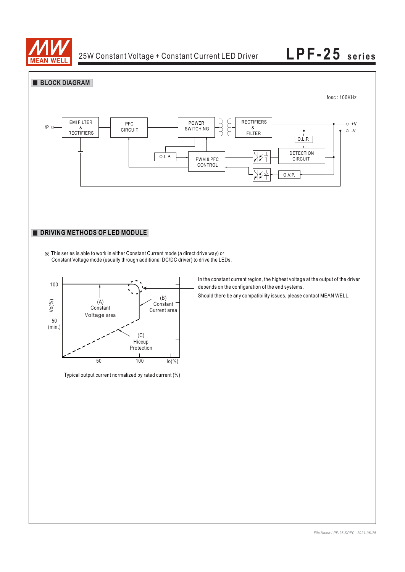





Typical output current normalized by rated current (%)

In the constant current region, the highest voltage at the output of the driver depends on the configuration of the end systems.

Should there be any compatibility issues, please contact MEAN WELL.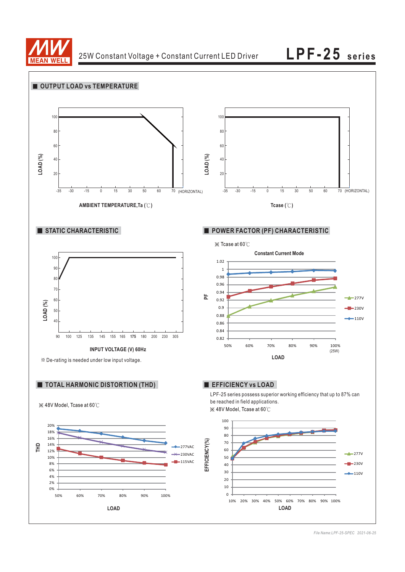

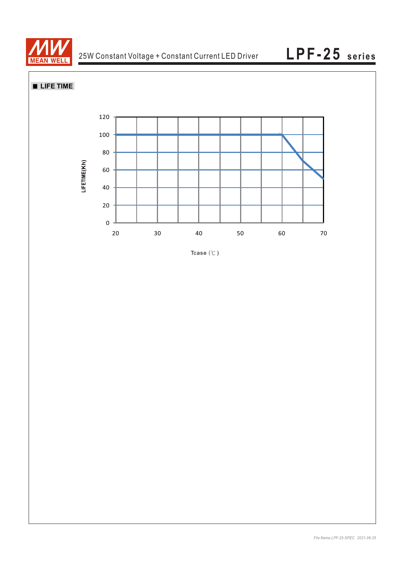

**LIFE TIME** 



Tcase  $(°C)$